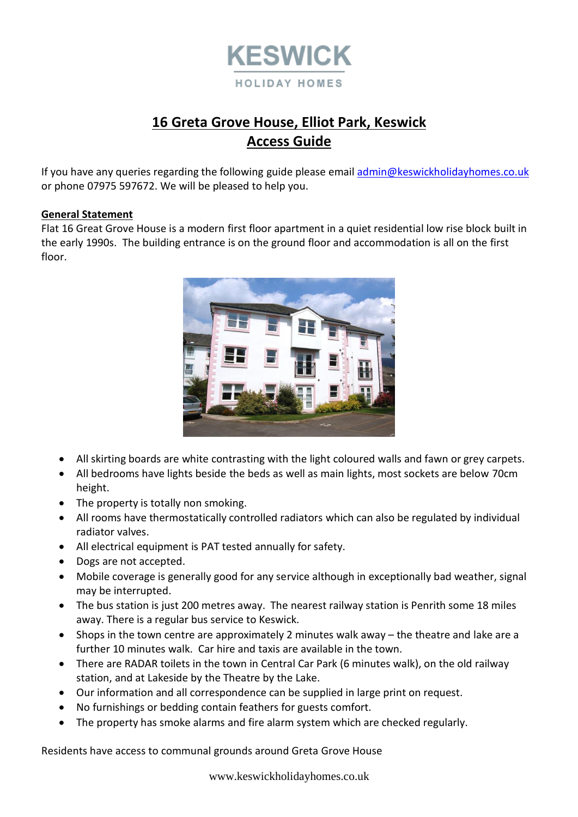

# **16 Greta Grove House, Elliot Park, Keswick Access Guide**

If you have any queries regarding the following guide please emai[l admin@keswickholidayhomes.co.uk](mailto:admin@keswickholidayhomes.co.uk) or phone 07975 597672. We will be pleased to help you.

## **General Statement**

Flat 16 Great Grove House is a modern first floor apartment in a quiet residential low rise block built in the early 1990s. The building entrance is on the ground floor and accommodation is all on the first floor.



- All skirting boards are white contrasting with the light coloured walls and fawn or grey carpets.
- All bedrooms have lights beside the beds as well as main lights, most sockets are below 70cm height.
- The property is totally non smoking.
- All rooms have thermostatically controlled radiators which can also be regulated by individual radiator valves.
- All electrical equipment is PAT tested annually for safety.
- Dogs are not accepted.
- Mobile coverage is generally good for any service although in exceptionally bad weather, signal may be interrupted.
- The bus station is just 200 metres away. The nearest railway station is Penrith some 18 miles away. There is a regular bus service to Keswick.
- Shops in the town centre are approximately 2 minutes walk away the theatre and lake are a further 10 minutes walk. Car hire and taxis are available in the town.
- There are RADAR toilets in the town in Central Car Park (6 minutes walk), on the old railway station, and at Lakeside by the Theatre by the Lake.
- Our information and all correspondence can be supplied in large print on request.
- No furnishings or bedding contain feathers for guests comfort.
- The property has smoke alarms and fire alarm system which are checked regularly.

Residents have access to communal grounds around Greta Grove House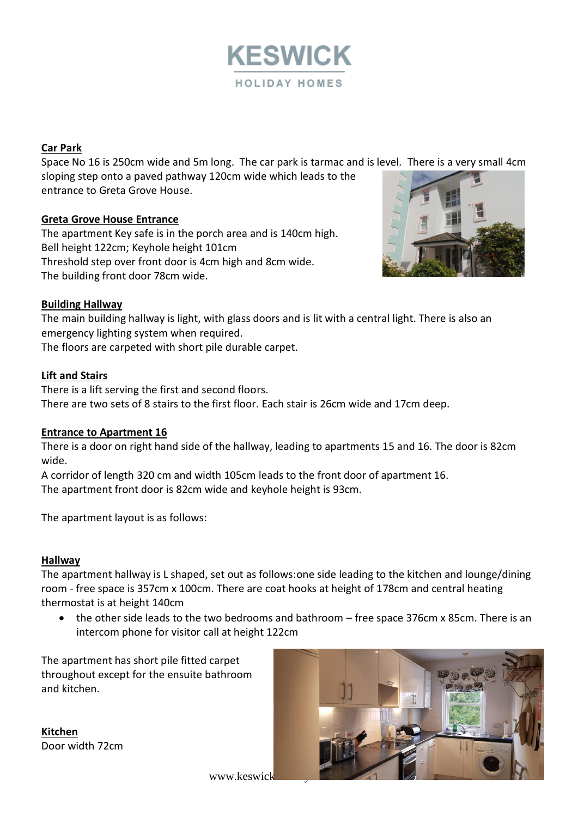

# **Car Park**

Space No 16 is 250cm wide and 5m long. The car park is tarmac and is level. There is a very small 4cm sloping step onto a paved pathway 120cm wide which leads to the entrance to Greta Grove House.

# **Greta Grove House Entrance**

The apartment Key safe is in the porch area and is 140cm high. Bell height 122cm; Keyhole height 101cm Threshold step over front door is 4cm high and 8cm wide. The building front door 78cm wide.



# **Building Hallway**

The main building hallway is light, with glass doors and is lit with a central light. There is also an emergency lighting system when required. The floors are carpeted with short pile durable carpet.

## **Lift and Stairs**

There is a lift serving the first and second floors. There are two sets of 8 stairs to the first floor. Each stair is 26cm wide and 17cm deep.

#### **Entrance to Apartment 16**

There is a door on right hand side of the hallway, leading to apartments 15 and 16. The door is 82cm wide.

A corridor of length 320 cm and width 105cm leads to the front door of apartment 16. The apartment front door is 82cm wide and keyhole height is 93cm.

The apartment layout is as follows:

# **Hallway**

The apartment hallway is L shaped, set out as follows:one side leading to the kitchen and lounge/dining room - free space is 357cm x 100cm. There are coat hooks at height of 178cm and central heating thermostat is at height 140cm

• the other side leads to the two bedrooms and bathroom – free space 376cm x 85cm. There is an intercom phone for visitor call at height 122cm

The apartment has short pile fitted carpet throughout except for the ensuite bathroom and kitchen.

**Kitchen** Door width 72cm



www.keswick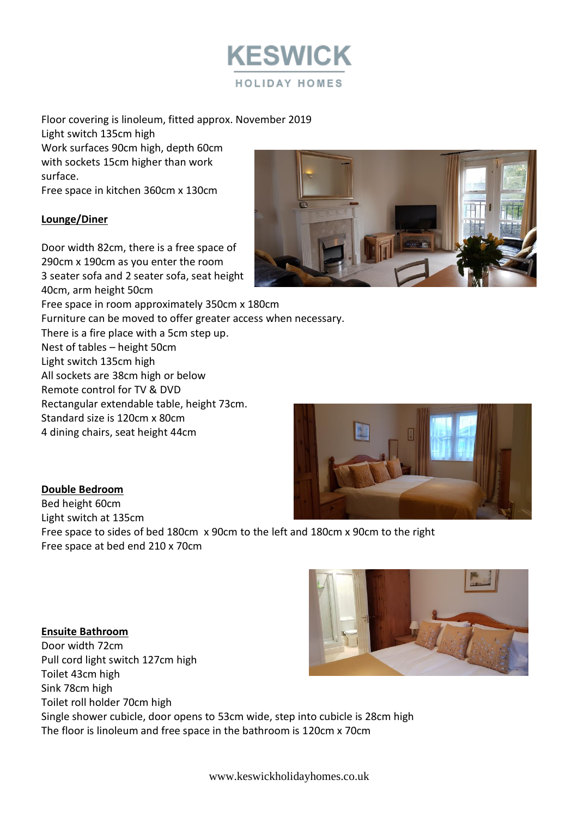

Floor covering is linoleum, fitted approx. November 2019 Light switch 135cm high Work surfaces 90cm high, depth 60cm with sockets 15cm higher than work surface. Free space in kitchen 360cm x 130cm

# **Lounge/Diner**

Door width 82cm, there is a free space of 290cm x 190cm as you enter the room 3 seater sofa and 2 seater sofa, seat height 40cm, arm height 50cm Free space in room approximately 350cm x 180cm Furniture can be moved to offer greater access when necessary. There is a fire place with a 5cm step up. Nest of tables – height 50cm Light switch 135cm high All sockets are 38cm high or below Remote control for TV & DVD Rectangular extendable table, height 73cm. Standard size is 120cm x 80cm 4 dining chairs, seat height 44cm





# **Double Bedroom**

Bed height 60cm Light switch at 135cm Free space to sides of bed 180cm x 90cm to the left and 180cm x 90cm to the right Free space at bed end 210 x 70cm

**Ensuite Bathroom** Door width 72cm Pull cord light switch 127cm high Toilet 43cm high Sink 78cm high Toilet roll holder 70cm high Single shower cubicle, door opens to 53cm wide, step into cubicle is 28cm high The floor is linoleum and free space in the bathroom is 120cm x 70cm